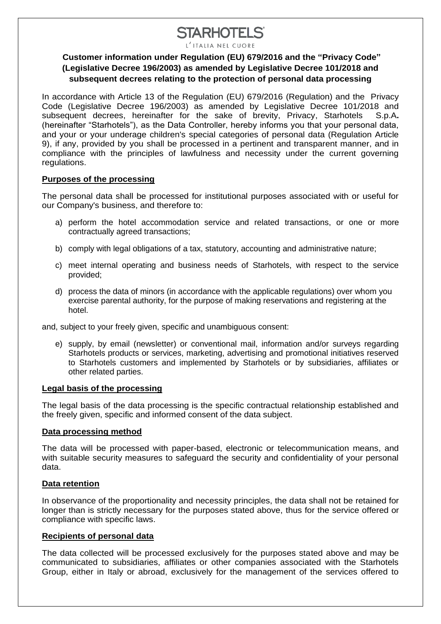# **STARHOTELS®**

L'ITALIA NEL CUORE

### **Customer information under Regulation (EU) 679/2016 and the "Privacy Code" (Legislative Decree 196/2003) as amended by Legislative Decree 101/2018 and subsequent decrees relating to the protection of personal data processing**

In accordance with Article 13 of the Regulation (EU) 679/2016 (Regulation) and the Privacy Code (Legislative Decree 196/2003) as amended by Legislative Decree 101/2018 and subsequent decrees, hereinafter for the sake of brevity, Privacy, Starhotels S.p.A**.** (hereinafter "Starhotels"), as the Data Controller, hereby informs you that your personal data, and your or your underage children's special categories of personal data (Regulation Article 9), if any, provided by you shall be processed in a pertinent and transparent manner, and in compliance with the principles of lawfulness and necessity under the current governing regulations.

### **Purposes of the processing**

The personal data shall be processed for institutional purposes associated with or useful for our Company's business, and therefore to:

- a) perform the hotel accommodation service and related transactions, or one or more contractually agreed transactions;
- b) comply with legal obligations of a tax, statutory, accounting and administrative nature;
- c) meet internal operating and business needs of Starhotels, with respect to the service provided;
- d) process the data of minors (in accordance with the applicable regulations) over whom you exercise parental authority, for the purpose of making reservations and registering at the hotel.

and, subject to your freely given, specific and unambiguous consent:

e) supply, by email (newsletter) or conventional mail, information and/or surveys regarding Starhotels products or services, marketing, advertising and promotional initiatives reserved to Starhotels customers and implemented by Starhotels or by subsidiaries, affiliates or other related parties.

### **Legal basis of the processing**

The legal basis of the data processing is the specific contractual relationship established and the freely given, specific and informed consent of the data subject.

### **Data processing method**

The data will be processed with paper-based, electronic or telecommunication means, and with suitable security measures to safeguard the security and confidentiality of your personal data.

### **Data retention**

In observance of the proportionality and necessity principles, the data shall not be retained for longer than is strictly necessary for the purposes stated above, thus for the service offered or compliance with specific laws.

### **Recipients of personal data**

The data collected will be processed exclusively for the purposes stated above and may be communicated to subsidiaries, affiliates or other companies associated with the Starhotels Group, either in Italy or abroad, exclusively for the management of the services offered to